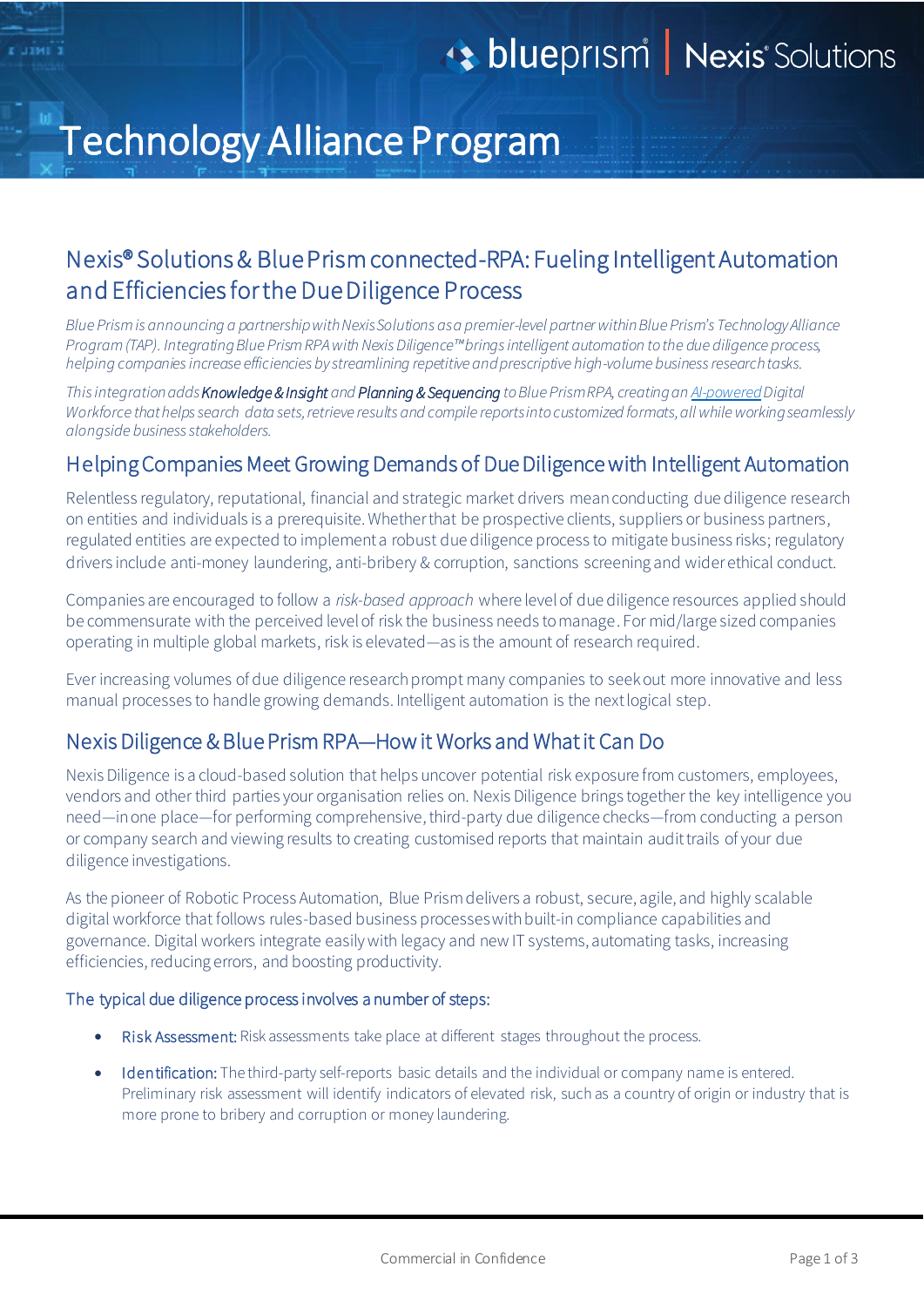# Technology Alliance Program

## Nexis® Solutions & Blue Prism connected-RPA: Fueling Intelligent Automation and Efficiencies for the Due Diligence Process

*Blue Prism is announcing a partnership with Nexis Solutions as a premier-level partner within Blue Prism's Technology Alliance Program (TAP). Integrating Blue Prism RPA with Nexis Diligence™brings intelligent automation to the due diligence process, helping companiesincrease efficiencies by streamlining repetitive and prescriptive high-volume business research tasks.*

*Thisintegration adds Knowledge & Insight and Planning & Sequencing to Blue PrismRPA, creating a[n AI-powered](https://www.blueprism.com/product/skills/)Digital Workforce that helps search data sets, retrieve results and compile reportsinto customized formats, allwhile working seamlessly alongside business stakeholders.*

## Helping Companies Meet Growing Demands of Due Diligence with Intelligent Automation

Relentless regulatory, reputational, financial and strategic market drivers mean conducting due diligence research on entities and individuals is a prerequisite. Whether that be prospective clients, suppliers or business partners, regulated entities are expected to implement a robust due diligence process to mitigate business risks; regulatory drivers include anti-money laundering, anti-bribery & corruption, sanctions screening and wider ethical conduct.

Companies are encouraged to follow a *risk-based approach* where level of due diligence resources applied should be commensurate with the perceived level of risk the business needs to manage. For mid/large sized companies operating in multiple global markets, risk is elevated—as is the amount of research required.

Ever increasing volumes of due diligence research prompt many companies to seek out more innovative and less manual processes to handle growing demands. Intelligent automation is the next logical step.

## Nexis Diligence & Blue Prism RPA—How it Works and What it Can Do

Nexis Diligence is a cloud-based solution that helps uncover potential risk exposure from customers, employees, vendors and other third parties your organisation relies on. Nexis Diligence brings together the key intelligence you need—in one place—for performing comprehensive, third-party due diligence checks—from conducting a person or company search and viewing results to creating customised reports that maintain audit trails of your due diligence investigations.

As the pioneer of Robotic Process Automation, Blue Prism delivers a robust, secure, agile, and highly scalable digital workforce that follows rules-based business processes with built-in compliance capabilities and governance. Digital workers integrate easily with legacy and new IT systems, automating tasks, increasing efficiencies, reducing errors, and boosting productivity.

#### The typical due diligence process involves a number of steps:

- Risk Assessment: Risk assessments take place at different stages throughout the process.
- Identification: The third-party self-reports basic details and the individual or company name is entered. Preliminary risk assessment will identify indicators of elevated risk, such as a country of origin or industry that is more prone to bribery and corruption or money laundering.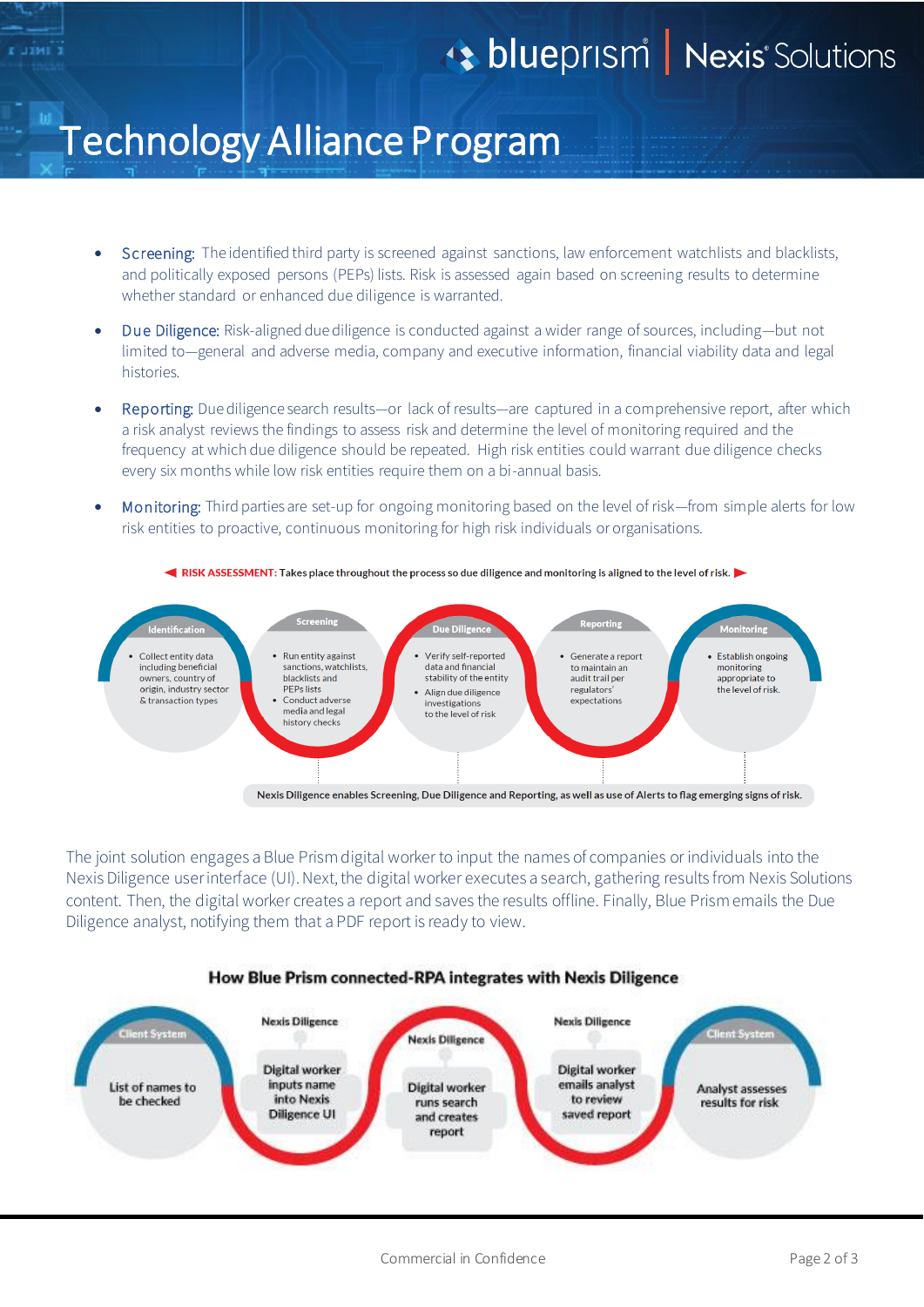# **13 blueprism Nexis** Solutions

## Technology Alliance Program

- Screening: The identified third party is screened against sanctions, law enforcement watchlists and blacklists, and politically exposed persons (PEPs) lists. Risk is assessed again based on screening results to determine whether standard or enhanced due diligence is warranted.
- Due Diligence: Risk-aligned due diligence is conducted against a wider range of sources, including—but not limited to—general and adverse media, company and executive information, financial viability data and legal histories.
- Reporting: Due diligence search results—or lack of results—are captured in a comprehensive report, after which a risk analyst reviews the findings to assess risk and determine the level of monitoring required and the frequency at which due diligence should be repeated. High risk entities could warrant due diligence checks every six months while low risk entities require them on a bi-annual basis.
- Monitoring: Third parties are set-up for ongoing monitoring based on the level of risk—from simple alerts for low risk entities to proactive, continuous monitoring for high risk individuals or organisations.



The joint solution engages a Blue Prism digital worker to input the names of companies or individuals into the Nexis Diligence user interface (UI). Next, the digital worker executes a search, gathering results from Nexis Solutions content. Then, the digital worker creates a report and saves the results offline. Finally, Blue Prism emails the Due Diligence analyst, notifying them that a PDF report is ready to view.

#### How Blue Prism connected-RPA integrates with Nexis Diligence